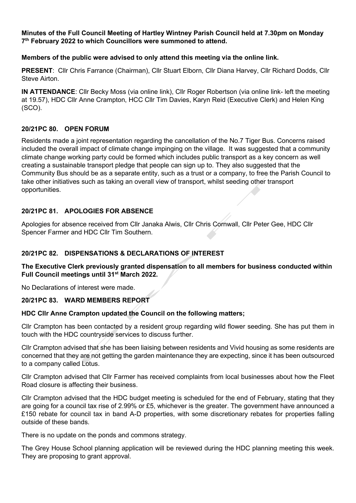**Minutes of the Full Council Meeting of Hartley Wintney Parish Council held at 7.30pm on Monday 7th February 2022 to which Councillors were summoned to attend.**

### **Members of the public were advised to only attend this meeting via the online link.**

**PRESENT**: Cllr Chris Farrance (Chairman), Cllr Stuart Elborn, Cllr Diana Harvey, Cllr Richard Dodds, Cllr Steve Airton.

**IN ATTENDANCE**: Cllr Becky Moss (via online link), Cllr Roger Robertson (via online link- left the meeting at 19.57), HDC Cllr Anne Crampton, HCC Cllr Tim Davies, Karyn Reid (Executive Clerk) and Helen King (SCO).

### **20/21PC 80. OPEN FORUM**

Residents made a joint representation regarding the cancellation of the No.7 Tiger Bus. Concerns raised included the overall impact of climate change impinging on the village. It was suggested that a community climate change working party could be formed which includes public transport as a key concern as well creating a sustainable transport pledge that people can sign up to. They also suggested that the Community Bus should be as a separate entity, such as a trust or a company, to free the Parish Council to take other initiatives such as taking an overall view of transport, whilst seeding other transport opportunities.

### **20/21PC 81. APOLOGIES FOR ABSENCE**

Apologies for absence received from Cllr Janaka Alwis, Cllr Chris Cornwall, Cllr Peter Gee, HDC Cllr Spencer Farmer and HDC Cllr Tim Southern.

### **20/21PC 82. DISPENSATIONS & DECLARATIONS OF INTEREST**

### **The Executive Clerk previously granted dispensation to all members for business conducted within Full Council meetings until 31st March 2022.**

No Declarations of interest were made.

#### **20/21PC 83. WARD MEMBERS REPORT**

#### **HDC Cllr Anne Crampton updated the Council on the following matters;**

Cllr Crampton has been contacted by a resident group regarding wild flower seeding. She has put them in touch with the HDC countryside services to discuss further.

Cllr Crampton advised that she has been liaising between residents and Vivid housing as some residents are concerned that they are not getting the garden maintenance they are expecting, since it has been outsourced to a company called Lotus.

Cllr Crampton advised that Cllr Farmer has received complaints from local businesses about how the Fleet Road closure is affecting their business.

Cllr Crampton advised that the HDC budget meeting is scheduled for the end of February, stating that they are going for a council tax rise of 2.99% or £5, whichever is the greater. The government have announced a £150 rebate for council tax in band A-D properties, with some discretionary rebates for properties falling outside of these bands.

There is no update on the ponds and commons strategy.

The Grey House School planning application will be reviewed during the HDC planning meeting this week. They are proposing to grant approval.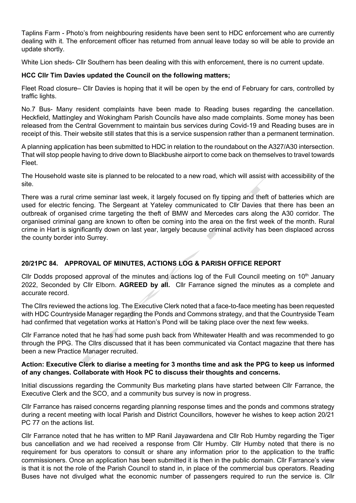Taplins Farm - Photo's from neighbouring residents have been sent to HDC enforcement who are currently dealing with it. The enforcement officer has returned from annual leave today so will be able to provide an update shortly.

White Lion sheds- Cllr Southern has been dealing with this with enforcement, there is no current update.

## **HCC Cllr Tim Davies updated the Council on the following matters;**

Fleet Road closure– Cllr Davies is hoping that it will be open by the end of February for cars, controlled by traffic lights.

No.7 Bus- Many resident complaints have been made to Reading buses regarding the cancellation. Heckfield, Mattingley and Wokingham Parish Councils have also made complaints. Some money has been released from the Central Government to maintain bus services during Covid-19 and Reading buses are in receipt of this. Their website still states that this is a service suspension rather than a permanent termination.

A planning application has been submitted to HDC in relation to the roundabout on the A327/A30 intersection. That will stop people having to drive down to Blackbushe airport to come back on themselves to travel towards Fleet.

The Household waste site is planned to be relocated to a new road, which will assist with accessibility of the site.

There was a rural crime seminar last week, it largely focused on fly tipping and theft of batteries which are used for electric fencing. The Sergeant at Yateley communicated to Cllr Davies that there has been an outbreak of organised crime targeting the theft of BMW and Mercedes cars along the A30 corridor. The organised criminal gang are known to often be coming into the area on the first week of the month. Rural crime in Hart is significantly down on last year, largely because criminal activity has been displaced across the county border into Surrey.

# **20/21PC 84. APPROVAL OF MINUTES, ACTIONS LOG & PARISH OFFICE REPORT**

Cllr Dodds proposed approval of the minutes and actions log of the Full Council meeting on  $10<sup>th</sup>$  January 2022, Seconded by Cllr Elborn. **AGREED by all.** Cllr Farrance signed the minutes as a complete and accurate record.

The Cllrs reviewed the actions log. The Executive Clerk noted that a face-to-face meeting has been requested with HDC Countryside Manager regarding the Ponds and Commons strategy, and that the Countryside Team had confirmed that vegetation works at Hatton's Pond will be taking place over the next few weeks.

Cllr Farrance noted that he has had some push back from Whitewater Health and was recommended to go through the PPG. The Cllrs discussed that it has been communicated via Contact magazine that there has been a new Practice Manager recruited.

### **Action: Executive Clerk to diarise a meeting for 3 months time and ask the PPG to keep us informed of any changes. Collaborate with Hook PC to discuss their thoughts and concerns.**

Initial discussions regarding the Community Bus marketing plans have started between Cllr Farrance, the Executive Clerk and the SCO, and a community bus survey is now in progress.

Cllr Farrance has raised concerns regarding planning response times and the ponds and commons strategy during a recent meeting with local Parish and District Councillors, however he wishes to keep action 20/21 PC 77 on the actions list.

Cllr Farrance noted that he has written to MP Ranil Jayawardena and Cllr Rob Humby regarding the Tiger bus cancellation and we had received a response from Cllr Humby. Cllr Humby noted that there is no requirement for bus operators to consult or share any information prior to the application to the traffic commissioners. Once an application has been submitted it is then in the public domain. Cllr Farrance's view is that it is not the role of the Parish Council to stand in, in place of the commercial bus operators. Reading Buses have not divulged what the economic number of passengers required to run the service is. Cllr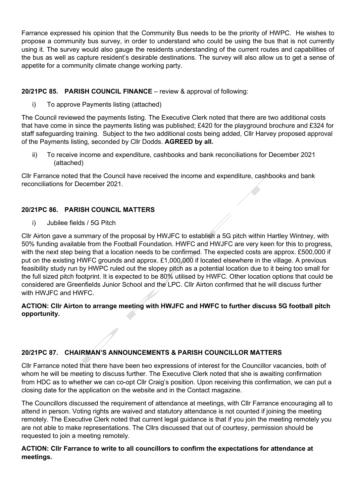Farrance expressed his opinion that the Community Bus needs to be the priority of HWPC. He wishes to propose a community bus survey, in order to understand who could be using the bus that is not currently using it. The survey would also gauge the residents understanding of the current routes and capabilities of the bus as well as capture resident's desirable destinations. The survey will also allow us to get a sense of appetite for a community climate change working party.

## **20/21PC 85. PARISH COUNCIL FINANCE** – review & approval of following:

i) To approve Payments listing (attached)

The Council reviewed the payments listing. The Executive Clerk noted that there are two additional costs that have come in since the payments listing was published; £420 for the playground brochure and £324 for staff safeguarding training. Subject to the two additional costs being added, Cllr Harvey proposed approval of the Payments listing, seconded by Cllr Dodds. **AGREED by all.**

ii) To receive income and expenditure, cashbooks and bank reconciliations for December 2021 (attached)

Cllr Farrance noted that the Council have received the income and expenditure, cashbooks and bank reconciliations for December 2021.

# **20/21PC 86. PARISH COUNCIL MATTERS**

i) Jubilee fields / 5G Pitch

Cllr Airton gave a summary of the proposal by HWJFC to establish a 5G pitch within Hartley Wintney, with 50% funding available from the Football Foundation. HWFC and HWJFC are very keen for this to progress, with the next step being that a location needs to be confirmed. The expected costs are approx. £500,000 if put on the existing HWFC grounds and approx. £1,000,000 if located elsewhere in the village. A previous feasibility study run by HWPC ruled out the slopey pitch as a potential location due to it being too small for the full sized pitch footprint. It is expected to be 80% utilised by HWFC. Other location options that could be considered are Greenfields Junior School and the LPC. Cllr Airton confirmed that he will discuss further with HWJFC and HWFC.

## **ACTION: Cllr Airton to arrange meeting with HWJFC and HWFC to further discuss 5G football pitch opportunity.**

## **20/21PC 87. CHAIRMAN'S ANNOUNCEMENTS & PARISH COUNCILLOR MATTERS**

Cllr Farrance noted that there have been two expressions of interest for the Councillor vacancies, both of whom he will be meeting to discuss further. The Executive Clerk noted that she is awaiting confirmation from HDC as to whether we can co-opt Cllr Craig's position. Upon receiving this confirmation, we can put a closing date for the application on the website and in the Contact magazine.

The Councillors discussed the requirement of attendance at meetings, with Cllr Farrance encouraging all to attend in person. Voting rights are waived and statutory attendance is not counted if joining the meeting remotely. The Executive Clerk noted that current legal guidance is that if you join the meeting remotely you are not able to make representations. The Cllrs discussed that out of courtesy, permission should be requested to join a meeting remotely.

## **ACTION: Cllr Farrance to write to all councillors to confirm the expectations for attendance at meetings.**